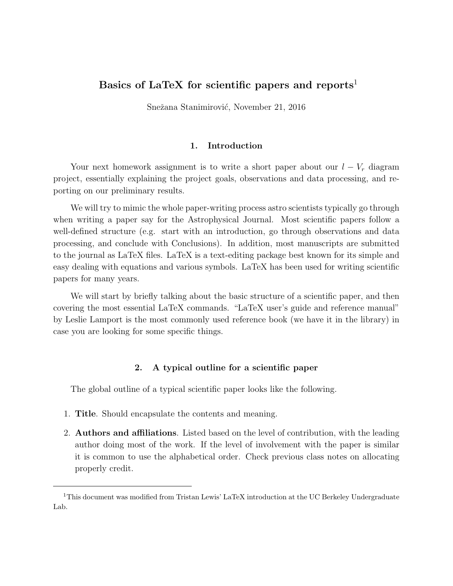# Basics of LaTeX for scientific papers and reports<sup>1</sup>

Snežana Stanimirović, November 21, 2016

## 1. Introduction

Your next homework assignment is to write a short paper about our  $l - V_r$  diagram project, essentially explaining the project goals, observations and data processing, and reporting on our preliminary results.

We will try to mimic the whole paper-writing process astro scientists typically go through when writing a paper say for the Astrophysical Journal. Most scientific papers follow a well-defined structure (e.g. start with an introduction, go through observations and data processing, and conclude with Conclusions). In addition, most manuscripts are submitted to the journal as LaTeX files. LaTeX is a text-editing package best known for its simple and easy dealing with equations and various symbols. LaTeX has been used for writing scientific papers for many years.

We will start by briefly talking about the basic structure of a scientific paper, and then covering the most essential LaTeX commands. "LaTeX user's guide and reference manual" by Leslie Lamport is the most commonly used reference book (we have it in the library) in case you are looking for some specific things.

# 2. A typical outline for a scientific paper

The global outline of a typical scientific paper looks like the following.

- 1. Title. Should encapsulate the contents and meaning.
- 2. Authors and affiliations. Listed based on the level of contribution, with the leading author doing most of the work. If the level of involvement with the paper is similar it is common to use the alphabetical order. Check previous class notes on allocating properly credit.

<sup>1</sup>This document was modified from Tristan Lewis' LaTeX introduction at the UC Berkeley Undergraduate Lab.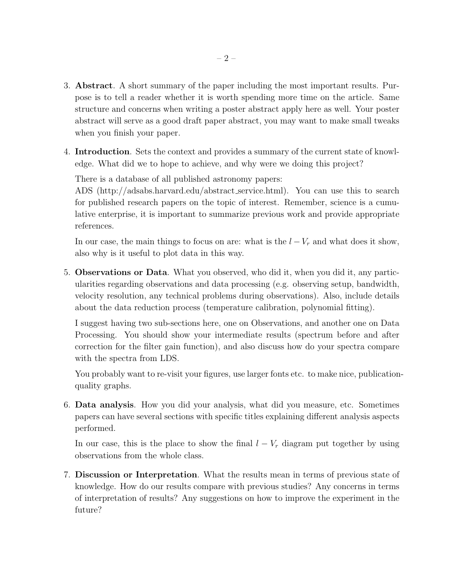- 3. Abstract. A short summary of the paper including the most important results. Purpose is to tell a reader whether it is worth spending more time on the article. Same structure and concerns when writing a poster abstract apply here as well. Your poster abstract will serve as a good draft paper abstract, you may want to make small tweaks when you finish your paper.
- 4. Introduction. Sets the context and provides a summary of the current state of knowledge. What did we to hope to achieve, and why were we doing this project?

There is a database of all published astronomy papers:

ADS (http://adsabs.harvard.edu/abstract service.html). You can use this to search for published research papers on the topic of interest. Remember, science is a cumulative enterprise, it is important to summarize previous work and provide appropriate references.

In our case, the main things to focus on are: what is the  $l - V_r$  and what does it show, also why is it useful to plot data in this way.

5. Observations or Data. What you observed, who did it, when you did it, any particularities regarding observations and data processing (e.g. observing setup, bandwidth, velocity resolution, any technical problems during observations). Also, include details about the data reduction process (temperature calibration, polynomial fitting).

I suggest having two sub-sections here, one on Observations, and another one on Data Processing. You should show your intermediate results (spectrum before and after correction for the filter gain function), and also discuss how do your spectra compare with the spectra from LDS.

You probably want to re-visit your figures, use larger fonts etc. to make nice, publicationquality graphs.

6. Data analysis. How you did your analysis, what did you measure, etc. Sometimes papers can have several sections with specific titles explaining different analysis aspects performed.

In our case, this is the place to show the final  $l - V_r$  diagram put together by using observations from the whole class.

7. Discussion or Interpretation. What the results mean in terms of previous state of knowledge. How do our results compare with previous studies? Any concerns in terms of interpretation of results? Any suggestions on how to improve the experiment in the future?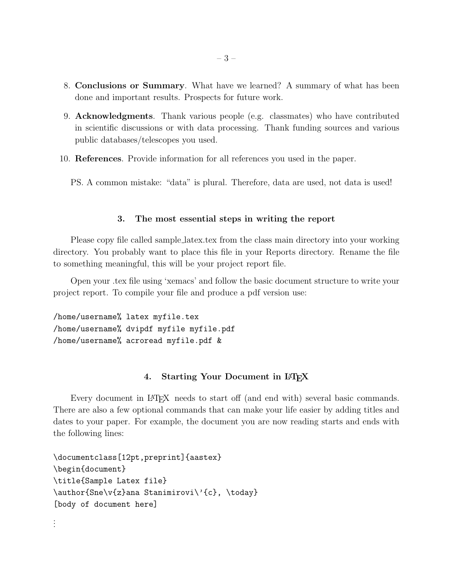- 8. Conclusions or Summary. What have we learned? A summary of what has been done and important results. Prospects for future work.
- 9. Acknowledgments. Thank various people (e.g. classmates) who have contributed in scientific discussions or with data processing. Thank funding sources and various public databases/telescopes you used.
- 10. References. Provide information for all references you used in the paper.

PS. A common mistake: "data" is plural. Therefore, data are used, not data is used!

## 3. The most essential steps in writing the report

Please copy file called sample latex.tex from the class main directory into your working directory. You probably want to place this file in your Reports directory. Rename the file to something meaningful, this will be your project report file.

Open your .tex file using 'xemacs' and follow the basic document structure to write your project report. To compile your file and produce a pdf version use:

```
/home/username% latex myfile.tex
/home/username% dvipdf myfile myfile.pdf
/home/username% acroread myfile.pdf &
```
## 4. Starting Your Document in L<sup>AT</sup>EX

Every document in LAT<sub>EX</sub> needs to start off (and end with) several basic commands. There are also a few optional commands that can make your life easier by adding titles and dates to your paper. For example, the document you are now reading starts and ends with the following lines:

```
\documentclass[12pt,preprint]{aastex}
\begin{document}
\title{Sample Latex file}
\author{Sne\v{z}ana Stanimirovi\'{c}, \today}
[body of document here]
```
. . .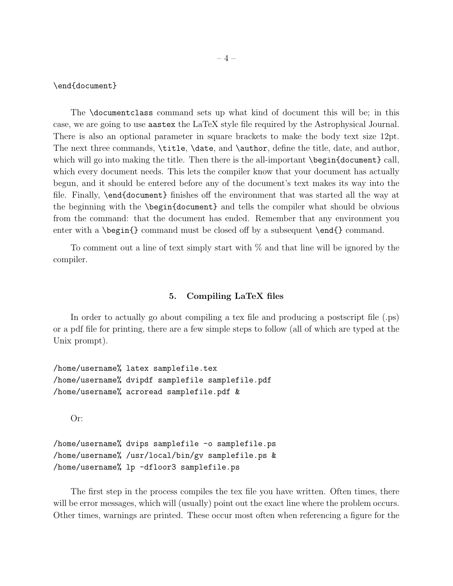\end{document}

The \documentclass command sets up what kind of document this will be; in this case, we are going to use aastex the LaTeX style file required by the Astrophysical Journal. There is also an optional parameter in square brackets to make the body text size 12pt. The next three commands, \title, \date, and \author, define the title, date, and author, which will go into making the title. Then there is the all-important \begin{document} call, which every document needs. This lets the compiler know that your document has actually begun, and it should be entered before any of the document's text makes its way into the file. Finally, \end{document} finishes off the environment that was started all the way at the beginning with the \begin{document} and tells the compiler what should be obvious from the command: that the document has ended. Remember that any environment you enter with a  $\begin{bmatrix} \pmod{2} \\ \pmod{3} \end{bmatrix}$  command must be closed off by a subsequent  $\end{bmatrix}$  command.

To comment out a line of text simply start with % and that line will be ignored by the compiler.

#### 5. Compiling LaTeX files

In order to actually go about compiling a tex file and producing a postscript file (.ps) or a pdf file for printing, there are a few simple steps to follow (all of which are typed at the Unix prompt).

/home/username% latex samplefile.tex /home/username% dvipdf samplefile samplefile.pdf /home/username% acroread samplefile.pdf &

Or:

```
/home/username% dvips samplefile -o samplefile.ps
/home/username% /usr/local/bin/gv samplefile.ps &
/home/username% lp -dfloor3 samplefile.ps
```
The first step in the process compiles the tex file you have written. Often times, there will be error messages, which will (usually) point out the exact line where the problem occurs. Other times, warnings are printed. These occur most often when referencing a figure for the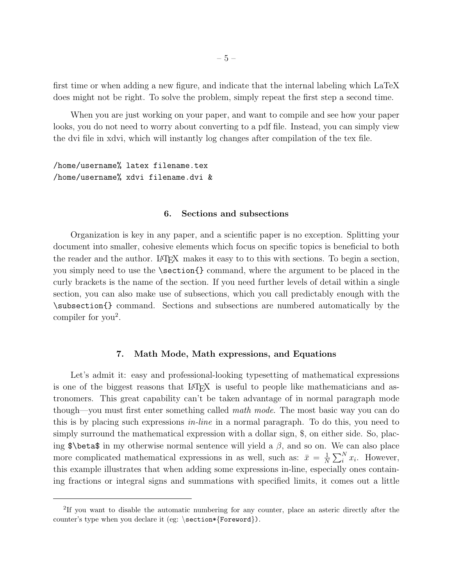first time or when adding a new figure, and indicate that the internal labeling which LaTeX does might not be right. To solve the problem, simply repeat the first step a second time.

When you are just working on your paper, and want to compile and see how your paper looks, you do not need to worry about converting to a pdf file. Instead, you can simply view the dvi file in xdvi, which will instantly log changes after compilation of the tex file.

/home/username% latex filename.tex /home/username% xdvi filename.dvi &

#### 6. Sections and subsections

Organization is key in any paper, and a scientific paper is no exception. Splitting your document into smaller, cohesive elements which focus on specific topics is beneficial to both the reader and the author. L<sup>A</sup>TEX makes it easy to to this with sections. To begin a section, you simply need to use the \section{} command, where the argument to be placed in the curly brackets is the name of the section. If you need further levels of detail within a single section, you can also make use of subsections, which you call predictably enough with the \subsection{} command. Sections and subsections are numbered automatically by the compiler for  $you^2$ .

# 7. Math Mode, Math expressions, and Equations

Let's admit it: easy and professional-looking typesetting of mathematical expressions is one of the biggest reasons that LATEX is useful to people like mathematicians and astronomers. This great capability can't be taken advantage of in normal paragraph mode though—you must first enter something called math mode. The most basic way you can do this is by placing such expressions in-line in a normal paragraph. To do this, you need to simply surround the mathematical expression with a dollar sign, \$, on either side. So, placing  $\beta \beta$  in my otherwise normal sentence will yield a  $\beta$ , and so on. We can also place more complicated mathematical expressions in as well, such as:  $\bar{x} = \frac{1}{N}$  $\frac{1}{N} \sum_{i}^{N} x_i$ . However, this example illustrates that when adding some expressions in-line, especially ones containing fractions or integral signs and summations with specified limits, it comes out a little

<sup>&</sup>lt;sup>2</sup>If you want to disable the automatic numbering for any counter, place an asteric directly after the counter's type when you declare it (eg: \section\*{Foreword}).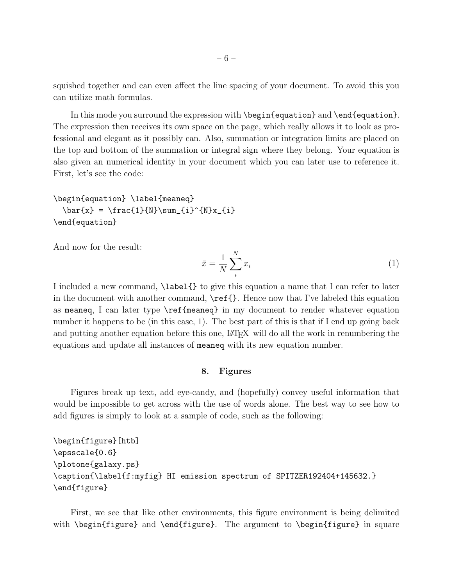squished together and can even affect the line spacing of your document. To avoid this you can utilize math formulas.

In this mode you surround the expression with \begin{equation} and \end{equation}. The expression then receives its own space on the page, which really allows it to look as professional and elegant as it possibly can. Also, summation or integration limits are placed on the top and bottom of the summation or integral sign where they belong. Your equation is also given an numerical identity in your document which you can later use to reference it. First, let's see the code:

```
\begin{equation} \label{meaneq}
  \bar{x} = \frac{1}{N}\sum_{i}^{N}x_{i}\end{equation}
```
And now for the result:

$$
\bar{x} = \frac{1}{N} \sum_{i}^{N} x_i \tag{1}
$$

I included a new command, \label{} to give this equation a name that I can refer to later in the document with another command,  $\ref{\}$ . Hence now that I've labeled this equation as meaneq, I can later type \ref{meaneq} in my document to render whatever equation number it happens to be (in this case, 1). The best part of this is that if I end up going back and putting another equation before this one, LAT<sub>EX</sub> will do all the work in renumbering the equations and update all instances of meaneq with its new equation number.

#### 8. Figures

Figures break up text, add eye-candy, and (hopefully) convey useful information that would be impossible to get across with the use of words alone. The best way to see how to add figures is simply to look at a sample of code, such as the following:

```
\begin{figure}[htb]
\epsscale{0.6}
\plotone{galaxy.ps}
\caption{\label{f:myfig} HI emission spectrum of SPITZER192404+145632.}
\end{figure}
```
First, we see that like other environments, this figure environment is being delimited with \begin{figure} and \end{figure}. The argument to \begin{figure} in square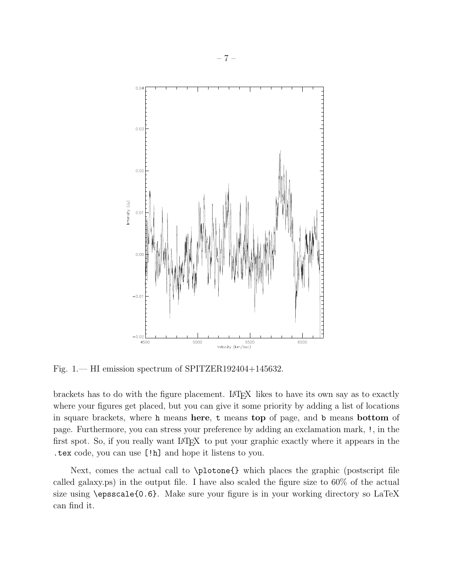

Fig. 1.— HI emission spectrum of SPITZER192404+145632.

brackets has to do with the figure placement. LAT<sub>EX</sub> likes to have its own say as to exactly where your figures get placed, but you can give it some priority by adding a list of locations in square brackets, where h means here, t means top of page, and b means bottom of page. Furthermore, you can stress your preference by adding an exclamation mark, !, in the first spot. So, if you really want L<sup>A</sup>TEX to put your graphic exactly where it appears in the .tex code, you can use [!h] and hope it listens to you.

Next, comes the actual call to \plotone{} which places the graphic (postscript file called galaxy.ps) in the output file. I have also scaled the figure size to 60% of the actual size using \epsscale{0.6}. Make sure your figure is in your working directory so LaTeX can find it.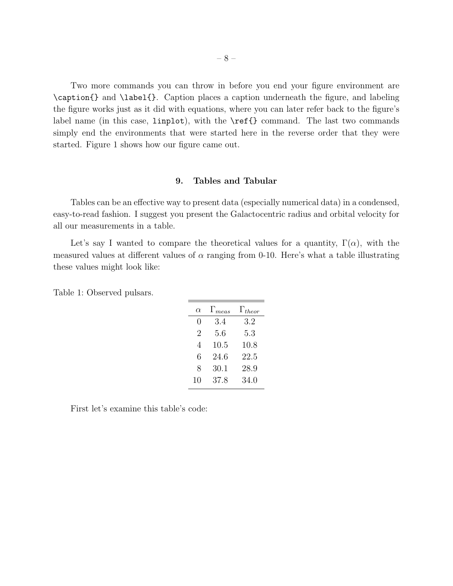Two more commands you can throw in before you end your figure environment are \caption{} and \label{}. Caption places a caption underneath the figure, and labeling the figure works just as it did with equations, where you can later refer back to the figure's label name (in this case, linplot), with the \ref{} command. The last two commands simply end the environments that were started here in the reverse order that they were started. Figure 1 shows how our figure came out.

## 9. Tables and Tabular

Tables can be an effective way to present data (especially numerical data) in a condensed, easy-to-read fashion. I suggest you present the Galactocentric radius and orbital velocity for all our measurements in a table.

Let's say I wanted to compare the theoretical values for a quantity,  $\Gamma(\alpha)$ , with the measured values at different values of  $\alpha$  ranging from 0-10. Here's what a table illustrating these values might look like:

| $\alpha$         | $\Gamma_{meas}$ | $\Gamma_{theor}$ |
|------------------|-----------------|------------------|
| $\left( \right)$ | 3.4             | 3.2              |
| 2                | 5.6             | 5.3              |
| 4                | 10.5            | 10.8             |
| 6                | 24.6            | 22.5             |
| 8                | 30.1            | 28.9             |
| 10               | 37.8            | 34.0             |

Table 1: Observed pulsars.

First let's examine this table's code: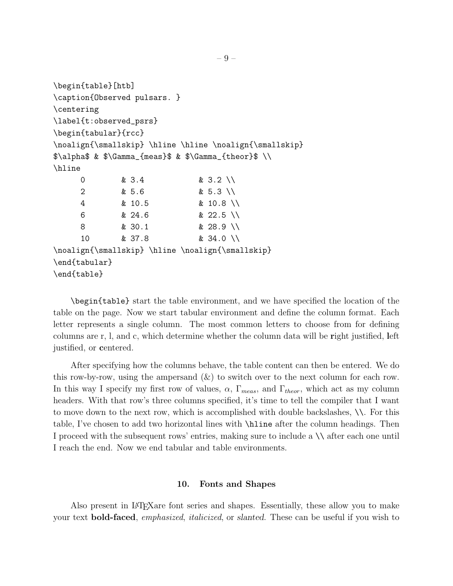```
\begin{table}[htb]
\caption{Observed pulsars. }
\centering
\label{t:observed_psrs}
\begin{tabular}{rcc}
\noalign{\smallskip} \hline \hline \noalign{\smallskip}
\lambda \ & \Gamma_{\{means\}} \ & \Gamma_{\{theory\}} \\hline
    0 & 3.4 & 3.2 \\
    2 & 5.6 & 5.3 \\
    4 & 10.5 & 10.8 \\
    6 & 24.6 & 22.5 \\
    8 & 30.1 & 28.9 \\
     10 & 37.8 & 34.0 \\
\noalign{\smallskip} \hline \noalign{\smallskip}
\end{tabular}
\end{table}
```
\begin{table} start the table environment, and we have specified the location of the table on the page. Now we start tabular environment and define the column format. Each letter represents a single column. The most common letters to choose from for defining columns are r, l, and c, which determine whether the column data will be right justified, left justified, or centered.

After specifying how the columns behave, the table content can then be entered. We do this row-by-row, using the ampersand  $(\&)$  to switch over to the next column for each row. In this way I specify my first row of values,  $\alpha$ ,  $\Gamma_{meas}$ , and  $\Gamma_{theor}$ , which act as my column headers. With that row's three columns specified, it's time to tell the compiler that I want to move down to the next row, which is accomplished with double backslashes, \\. For this table, I've chosen to add two horizontal lines with \hline after the column headings. Then I proceed with the subsequent rows' entries, making sure to include a \\ after each one until I reach the end. Now we end tabular and table environments.

#### 10. Fonts and Shapes

Also present in L<sup>A</sup>TEXare font series and shapes. Essentially, these allow you to make your text **bold-faced**, *emphasized*, *italicized*, or *slanted*. These can be useful if you wish to